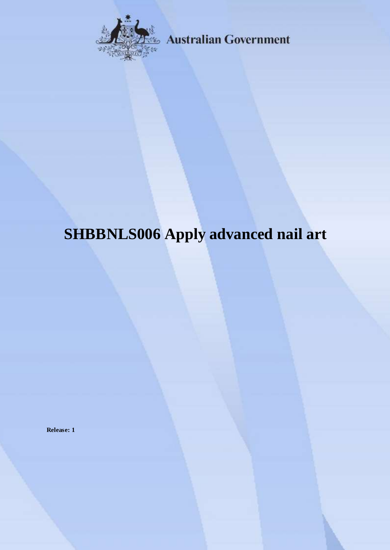

**Australian Government** 

# **SHBBNLS006 Apply advanced nail art**

**Release: 1**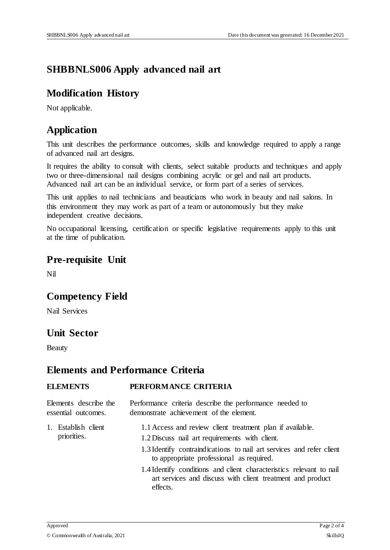## **SHBBNLS006 Apply advanced nail art**

#### **Modification History**

Not applicable.

### **Application**

This unit describes the performance outcomes, skills and knowledge required to apply a range of advanced nail art designs.

It requires the ability to consult with clients, select suitable products and techniques and apply two or three-dimensional nail designs combining acrylic or gel and nail art products. Advanced nail art can be an individual service, or form part of a series of services.

This unit applies to nail technicians and beauticians who work in beauty and nail salons. In this environment they may work as part of a team or autonomously but they make independent creative decisions.

No occupational licensing, certification or specific legislative requirements apply to this unit at the time of publication.

#### **Pre-requisite Unit**

Nil

#### **Competency Field**

Nail Services

#### **Unit Sector**

Beauty

#### **Elements and Performance Criteria**

#### **ELEMENTS PERFORMANCE CRITERIA**

| Elements describe the<br>essential outcomes. | Performance criteria describe the performance needed to<br>demonstrate achievement of the element.                                                                                                                              |
|----------------------------------------------|---------------------------------------------------------------------------------------------------------------------------------------------------------------------------------------------------------------------------------|
| 1. Establish client<br>priorities.           | 1.1 Access and review client treatment plan if available.<br>1.2 Discuss nail art requirements with client.<br>1.3 Identify contraindications to nail art services and refer client<br>to appropriate professional as required. |
|                                              | 1.4 Identify conditions and client characteristics relevant to nail<br>art services and discuss with client treatment and product<br>effects.                                                                                   |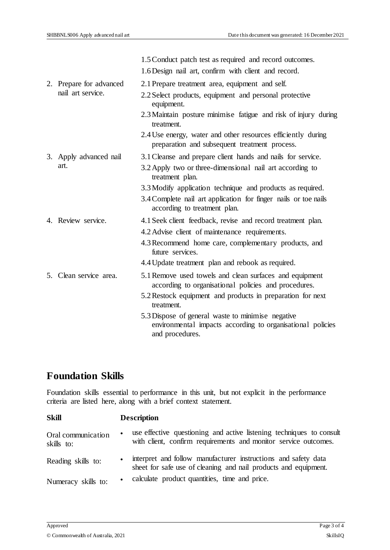|  |                         | 1.5 Conduct patch test as required and record outcomes.                                                                            |
|--|-------------------------|------------------------------------------------------------------------------------------------------------------------------------|
|  |                         | 1.6 Design nail art, confirm with client and record.                                                                               |
|  | 2. Prepare for advanced | 2.1 Prepare treatment area, equipment and self.                                                                                    |
|  | nail art service.       | 2.2 Select products, equipment and personal protective<br>equipment.                                                               |
|  |                         | 2.3 Maintain posture minimise fatigue and risk of injury during<br>treatment.                                                      |
|  |                         | 2.4 Use energy, water and other resources efficiently during<br>preparation and subsequent treatment process.                      |
|  | 3. Apply advanced nail  | 3.1 Cleanse and prepare client hands and nails for service.                                                                        |
|  | art.                    | 3.2 Apply two or three-dimensional nail art according to<br>treatment plan.                                                        |
|  |                         | 3.3 Modify application technique and products as required.                                                                         |
|  |                         | 3.4 Complete nail art application for finger nails or toe nails<br>according to treatment plan.                                    |
|  | 4. Review service.      | 4.1 Seek client feedback, revise and record treatment plan.                                                                        |
|  |                         | 4.2 Advise client of maintenance requirements.                                                                                     |
|  |                         | 4.3 Recommend home care, complementary products, and<br>future services.                                                           |
|  |                         | 4.4 Update treatment plan and rebook as required.                                                                                  |
|  | 5. Clean service area.  | 5.1 Remove used towels and clean surfaces and equipment<br>according to organisational policies and procedures.                    |
|  |                         | 5.2 Restock equipment and products in preparation for next<br>treatment.                                                           |
|  |                         | 5.3 Dispose of general waste to minimise negative<br>environmental impacts according to organisational policies<br>and procedures. |

# **Foundation Skills**

Foundation skills essential to performance in this unit, but not explicit in the performance criteria are listed here, along with a brief context statement.

| <b>Skill</b>                     | <b>Description</b>                                                                                                                      |  |
|----------------------------------|-----------------------------------------------------------------------------------------------------------------------------------------|--|
| Oral communication<br>skills to: | use effective questioning and active listening techniques to consult<br>with client, confirm requirements and monitor service outcomes. |  |
| Reading skills to:               | interpret and follow manufacturer instructions and safety data<br>sheet for safe use of cleaning and nail products and equipment.       |  |
| Numeracy skills to:              | calculate product quantities, time and price.                                                                                           |  |